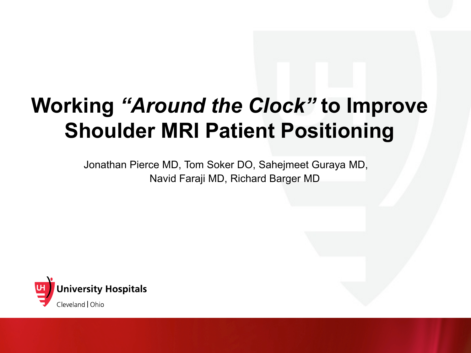# **Working** *"Around the Clock"* **to Improve Shoulder MRI Patient Positioning**

Jonathan Pierce MD, Tom Soker DO, Sahejmeet Guraya MD, Navid Faraji MD, Richard Barger MD

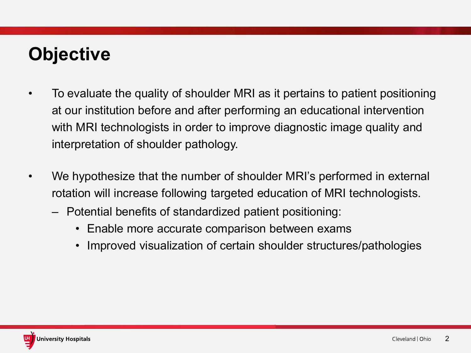## **Objective**

- To evaluate the quality of shoulder MRI as it pertains to patient positioning at our institution before and after performing an educational intervention with MRI technologists in order to improve diagnostic image quality and interpretation of shoulder pathology.
- We hypothesize that the number of shoulder MRI's performed in external rotation will increase following targeted education of MRI technologists.
	- Potential benefits of standardized patient positioning:
		- Enable more accurate comparison between exams
		- Improved visualization of certain shoulder structures/pathologies

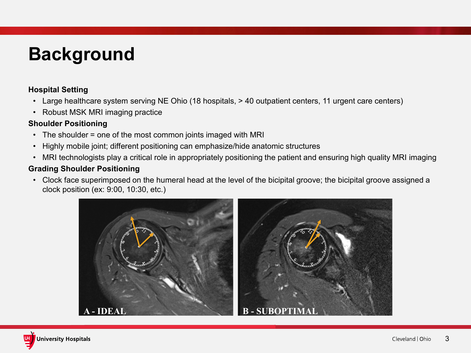## **Background**

#### **Hospital Setting**

- Large healthcare system serving NE Ohio (18 hospitals, > 40 outpatient centers, 11 urgent care centers)
- Robust MSK MRI imaging practice

#### **Shoulder Positioning**

- The shoulder = one of the most common joints imaged with MRI
- Highly mobile joint; different positioning can emphasize/hide anatomic structures
- MRI technologists play a critical role in appropriately positioning the patient and ensuring high quality MRI imaging

#### **Grading Shoulder Positioning**

• Clock face superimposed on the humeral head at the level of the bicipital groove; the bicipital groove assigned a clock position (ex: 9:00, 10:30, etc.)

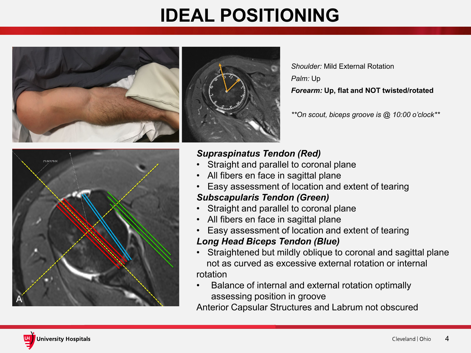## **IDEAL POSITIONING**



*Shoulder:* Mild External Rotation *Palm:* Up *Forearm:* **Up, flat and NOT twisted/rotated**

*\*\*On scout, biceps groove is @ 10:00 o'clock\*\**



### *Supraspinatus Tendon (Red)*

- Straight and parallel to coronal plane
- All fibers en face in sagittal plane
- Easy assessment of location and extent of tearing *Subscapularis Tendon (Green)*
- Straight and parallel to coronal plane
- All fibers en face in sagittal plane
- Easy assessment of location and extent of tearing

### *Long Head Biceps Tendon (Blue)*

- Straightened but mildly oblique to coronal and sagittal plane not as curved as excessive external rotation or internal rotation
- Balance of internal and external rotation optimally assessing position in groove

Anterior Capsular Structures and Labrum not obscured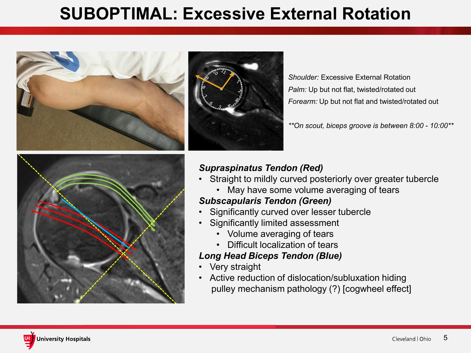## **SUBOPTIMAL: Excessive External Rotation**





*Shoulder:* Excessive External Rotation *Palm:* Up but not flat, twisted/rotated out *Forearm:* Up but not flat and twisted/rotated out

*\*\*On scout, biceps groove is between 8:00 - 10:00\*\**



### *Supraspinatus Tendon (Red)*

- Straight to mildly curved posteriorly over greater tubercle
	- May have some volume averaging of tears

### *Subscapularis Tendon (Green)*

- Significantly curved over lesser tubercle
- Significantly limited assessment
	- Volume averaging of tears
	- Difficult localization of tears

### *Long Head Biceps Tendon (Blue)*

- Very straight
- Active reduction of dislocation/subluxation hiding pulley mechanism pathology (?) [cogwheel effect]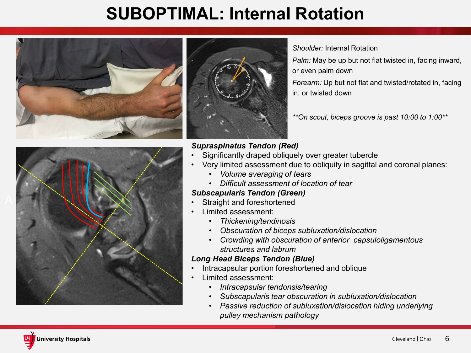## **SUBOPTIMAL: Internal Rotation**





*Shoulder:* Internal Rotation

*Palm:* May be up but not flat twisted in, facing inward, or even palm down

*Forearm:* Up but not flat and twisted/rotated in, facing in, or twisted down

*\*\*On scout, biceps groove is past 10:00 to 1:00\*\**



#### *Supraspinatus Tendon (Red)*

- Significantly draped obliquely over greater tubercle
- Very limited assessment due to obliquity in sagittal and coronal planes:
	- *Volume averaging of tears*
	- *Difficult assessment of location of tear*

#### *Subscapularis Tendon (Green)*

- 
- Limited assessment:
	- *Thickening/tendinosis*
	- *Obscuration of biceps subluxation/dislocation*
	- *Crowding with obscuration of anterior capsuloligamentous structures and labrum*

#### *Long Head Biceps Tendon (Blue)*

- Intracapsular portion foreshortened and oblique
- Limited assessment:
	- *Intracapsular tendonsis/tearing*
	- *Subscapularis tear obscuration in subluxation/dislocation*
	- *Passive reduction of subluxation/dislocation hiding underlying pulley mechanism pathology*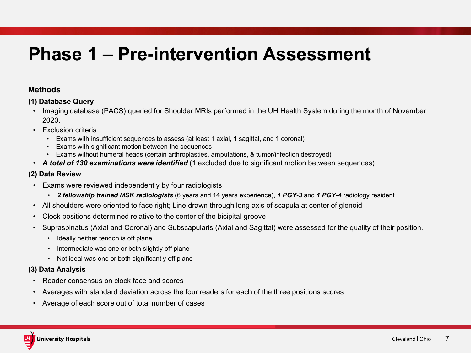## **Phase 1 – Pre-intervention Assessment**

#### **Methods**

#### **(1) Database Query**

- Imaging database (PACS) queried for Shoulder MRIs performed in the UH Health System during the month of November 2020.
- Exclusion criteria
	- Exams with insufficient sequences to assess (at least 1 axial, 1 sagittal, and 1 coronal)
	- Exams with significant motion between the sequences
	- Exams without humeral heads (certain arthroplasties, amputations, & tumor/infection destroyed)
- *A total of 130 examinations were identified* (1 excluded due to significant motion between sequences)

#### **(2) Data Review**

- Exams were reviewed independently by four radiologists
	- *2 fellowship trained MSK radiologists* (6 years and 14 years experience), *1 PGY-3* and *1 PGY-4* radiology resident
- All shoulders were oriented to face right; Line drawn through long axis of scapula at center of glenoid
- Clock positions determined relative to the center of the bicipital groove
- Supraspinatus (Axial and Coronal) and Subscapularis (Axial and Sagittal) were assessed for the quality of their position.
	- Ideally neither tendon is off plane
	- Intermediate was one or both slightly off plane
	- Not ideal was one or both significantly off plane

#### **(3) Data Analysis**

- Reader consensus on clock face and scores
- Averages with standard deviation across the four readers for each of the three positions scores
- Average of each score out of total number of cases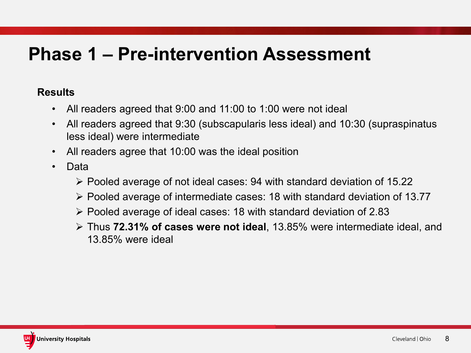## **Phase 1 – Pre-intervention Assessment**

### **Results**

- All readers agreed that 9:00 and 11:00 to 1:00 were not ideal
- All readers agreed that 9:30 (subscapularis less ideal) and 10:30 (supraspinatus less ideal) were intermediate
- All readers agree that 10:00 was the ideal position
- Data
	- $\triangleright$  Pooled average of not ideal cases: 94 with standard deviation of 15.22
	- $\triangleright$  Pooled average of intermediate cases: 18 with standard deviation of 13.77
	- $\triangleright$  Pooled average of ideal cases: 18 with standard deviation of 2.83
	- Thus **72.31% of cases were not ideal**, 13.85% were intermediate ideal, and 13.85% were ideal

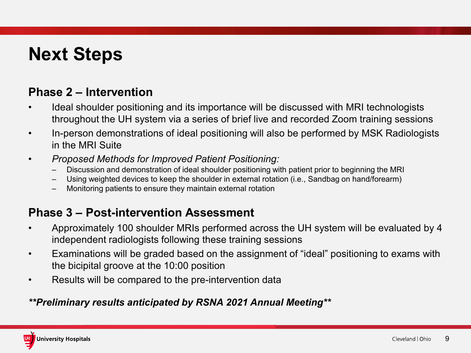## **Next Steps**

### **Phase 2 – Intervention**

- Ideal shoulder positioning and its importance will be discussed with MRI technologists throughout the UH system via a series of brief live and recorded Zoom training sessions
- In-person demonstrations of ideal positioning will also be performed by MSK Radiologists in the MRI Suite
- *Proposed Methods for Improved Patient Positioning:*
	- Discussion and demonstration of ideal shoulder positioning with patient prior to beginning the MRI
	- Using weighted devices to keep the shoulder in external rotation (i.e., Sandbag on hand/forearm)
	- Monitoring patients to ensure they maintain external rotation

### **Phase 3 – Post-intervention Assessment**

- Approximately 100 shoulder MRIs performed across the UH system will be evaluated by 4 independent radiologists following these training sessions
- Examinations will be graded based on the assignment of "ideal" positioning to exams with the bicipital groove at the 10:00 position
- Results will be compared to the pre-intervention data

### *\*\*Preliminary results anticipated by RSNA 2021 Annual Meeting\*\**